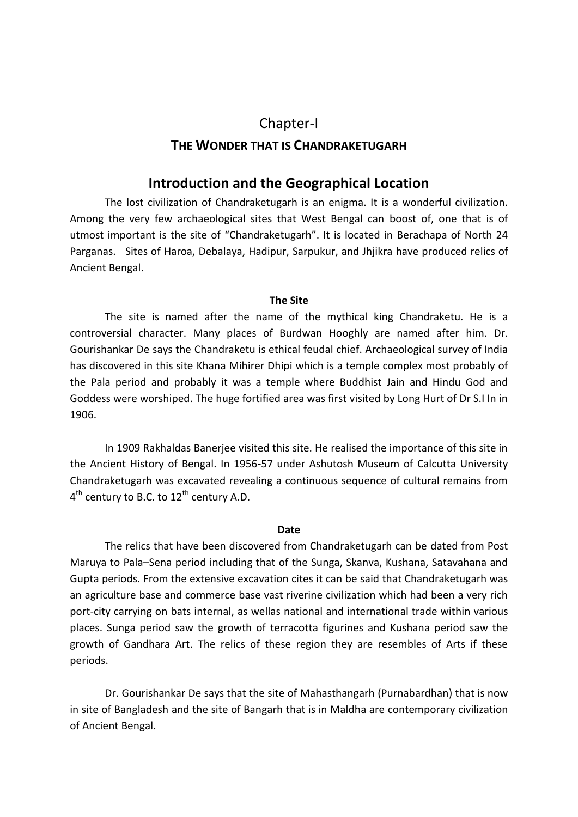# Chapter-I **THE WONDER THAT IS CHANDRAKETUGARH**

# **Introduction and the Geographical Location**

The lost civilization of Chandraketugarh is an enigma. It is a wonderful civilization. Among the very few archaeological sites that West Bengal can boost of, one that is of utmost important is the site of "Chandraketugarh". It is located in Berachapa of North 24 Parganas. Sites of Haroa, Debalaya, Hadipur, Sarpukur, and Jhjikra have produced relics of Ancient Bengal.

#### **The Site**

The site is named after the name of the mythical king Chandraketu. He is a controversial character. Many places of Burdwan Hooghly are named after him. Dr. Gourishankar De says the Chandraketu is ethical feudal chief. Archaeological survey of India has discovered in this site Khana Mihirer Dhipi which is a temple complex most probably of the Pala period and probably it was a temple where Buddhist Jain and Hindu God and Goddess were worshiped. The huge fortified area was first visited by Long Hurt of Dr S.I In in 1906.

In 1909 Rakhaldas Banerjee visited this site. He realised the importance of this site in the Ancient History of Bengal. In 1956-57 under Ashutosh Museum of Calcutta University Chandraketugarh was excavated revealing a continuous sequence of cultural remains from  $4^{th}$  century to B.C. to  $12^{th}$  century A.D.

#### **Date**

The relics that have been discovered from Chandraketugarh can be dated from Post Maruya to Pala–Sena period including that of the Sunga, Skanva, Kushana, Satavahana and Gupta periods. From the extensive excavation cites it can be said that Chandraketugarh was an agriculture base and commerce base vast riverine civilization which had been a very rich port-city carrying on bats internal, as wellas national and international trade within various places. Sunga period saw the growth of terracotta figurines and Kushana period saw the growth of Gandhara Art. The relics of these region they are resembles of Arts if these periods.

Dr. Gourishankar De says that the site of Mahasthangarh (Purnabardhan) that is now in site of Bangladesh and the site of Bangarh that is in Maldha are contemporary civilization of Ancient Bengal.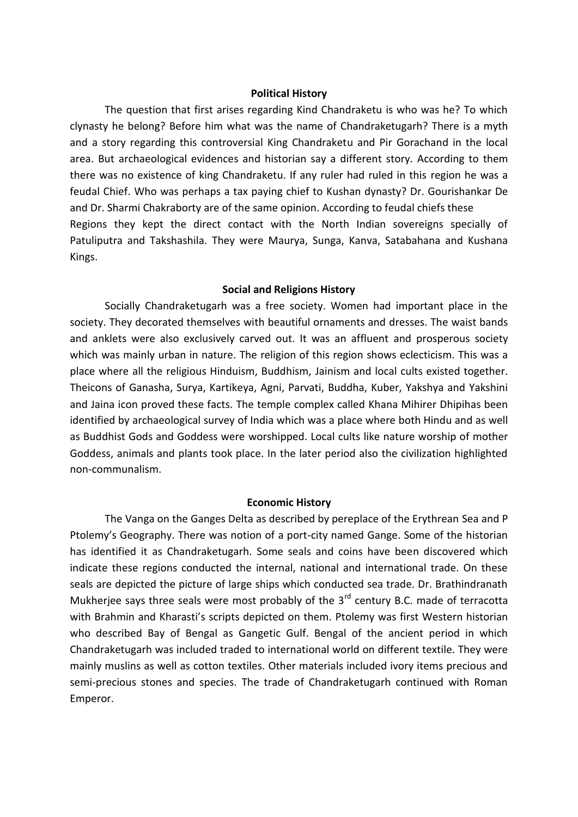#### **Political History**

The question that first arises regarding Kind Chandraketu is who was he? To which clynasty he belong? Before him what was the name of Chandraketugarh? There is a myth and a story regarding this controversial King Chandraketu and Pir Gorachand in the local area. But archaeological evidences and historian say a different story. According to them there was no existence of king Chandraketu. If any ruler had ruled in this region he was a feudal Chief. Who was perhaps a tax paying chief to Kushan dynasty? Dr. Gourishankar De and Dr. Sharmi Chakraborty are of the same opinion. According to feudal chiefs these Regions they kept the direct contact with the North Indian sovereigns specially of Patuliputra and Takshashila. They were Maurya, Sunga, Kanva, Satabahana and Kushana Kings.

#### **Social and Religions History**

Socially Chandraketugarh was a free society. Women had important place in the society. They decorated themselves with beautiful ornaments and dresses. The waist bands and anklets were also exclusively carved out. It was an affluent and prosperous society which was mainly urban in nature. The religion of this region shows eclecticism. This was a place where all the religious Hinduism, Buddhism, Jainism and local cults existed together. Theicons of Ganasha, Surya, Kartikeya, Agni, Parvati, Buddha, Kuber, Yakshya and Yakshini and Jaina icon proved these facts. The temple complex called Khana Mihirer Dhipihas been identified by archaeological survey of India which was a place where both Hindu and as well as Buddhist Gods and Goddess were worshipped. Local cults like nature worship of mother Goddess, animals and plants took place. In the later period also the civilization highlighted non-communalism.

#### **Economic History**

The Vanga on the Ganges Delta as described by pereplace of the Erythrean Sea and P Ptolemy's Geography. There was notion of a port-city named Gange. Some of the historian has identified it as Chandraketugarh. Some seals and coins have been discovered which indicate these regions conducted the internal, national and international trade. On these seals are depicted the picture of large ships which conducted sea trade. Dr. Brathindranath Mukherjee says three seals were most probably of the 3<sup>rd</sup> century B.C. made of terracotta with Brahmin and Kharasti's scripts depicted on them. Ptolemy was first Western historian who described Bay of Bengal as Gangetic Gulf. Bengal of the ancient period in which Chandraketugarh was included traded to international world on different textile. They were mainly muslins as well as cotton textiles. Other materials included ivory items precious and semi-precious stones and species. The trade of Chandraketugarh continued with Roman Emperor.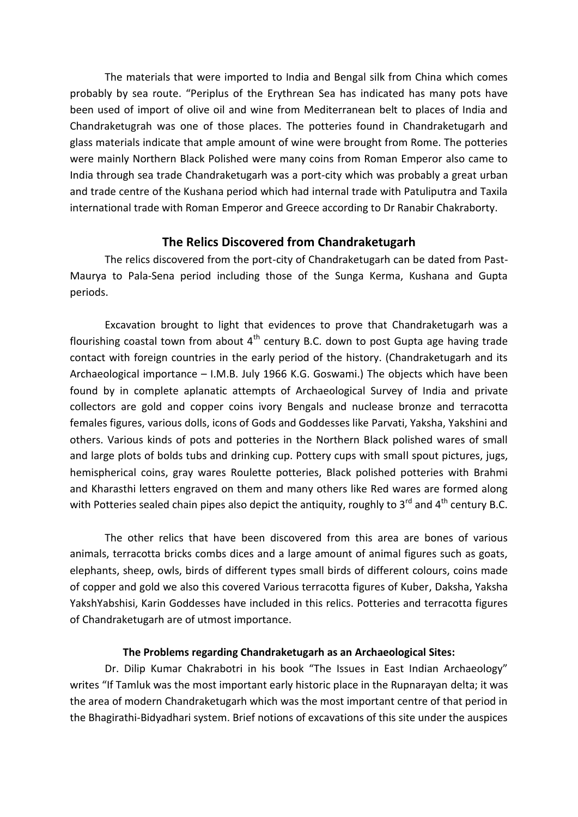The materials that were imported to India and Bengal silk from China which comes probably by sea route. "Periplus of the Erythrean Sea has indicated has many pots have been used of import of olive oil and wine from Mediterranean belt to places of India and Chandraketugrah was one of those places. The potteries found in Chandraketugarh and glass materials indicate that ample amount of wine were brought from Rome. The potteries were mainly Northern Black Polished were many coins from Roman Emperor also came to India through sea trade Chandraketugarh was a port-city which was probably a great urban and trade centre of the Kushana period which had internal trade with Patuliputra and Taxila international trade with Roman Emperor and Greece according to Dr Ranabir Chakraborty.

# **The Relics Discovered from Chandraketugarh**

The relics discovered from the port-city of Chandraketugarh can be dated from Past-Maurya to Pala-Sena period including those of the Sunga Kerma, Kushana and Gupta periods.

Excavation brought to light that evidences to prove that Chandraketugarh was a flourishing coastal town from about  $4<sup>th</sup>$  century B.C. down to post Gupta age having trade contact with foreign countries in the early period of the history. (Chandraketugarh and its Archaeological importance – I.M.B. July 1966 K.G. Goswami.) The objects which have been found by in complete aplanatic attempts of Archaeological Survey of India and private collectors are gold and copper coins ivory Bengals and nuclease bronze and terracotta females figures, various dolls, icons of Gods and Goddesses like Parvati, Yaksha, Yakshini and others. Various kinds of pots and potteries in the Northern Black polished wares of small and large plots of bolds tubs and drinking cup. Pottery cups with small spout pictures, jugs, hemispherical coins, gray wares Roulette potteries, Black polished potteries with Brahmi and Kharasthi letters engraved on them and many others like Red wares are formed along with Potteries sealed chain pipes also depict the antiquity, roughly to  $3^{rd}$  and  $4^{th}$  century B.C.

The other relics that have been discovered from this area are bones of various animals, terracotta bricks combs dices and a large amount of animal figures such as goats, elephants, sheep, owls, birds of different types small birds of different colours, coins made of copper and gold we also this covered Various terracotta figures of Kuber, Daksha, Yaksha YakshYabshisi, Karin Goddesses have included in this relics. Potteries and terracotta figures of Chandraketugarh are of utmost importance.

#### **The Problems regarding Chandraketugarh as an Archaeological Sites:**

Dr. Dilip Kumar Chakrabotri in his book "The Issues in East Indian Archaeology" writes "If Tamluk was the most important early historic place in the Rupnarayan delta; it was the area of modern Chandraketugarh which was the most important centre of that period in the Bhagirathi-Bidyadhari system. Brief notions of excavations of this site under the auspices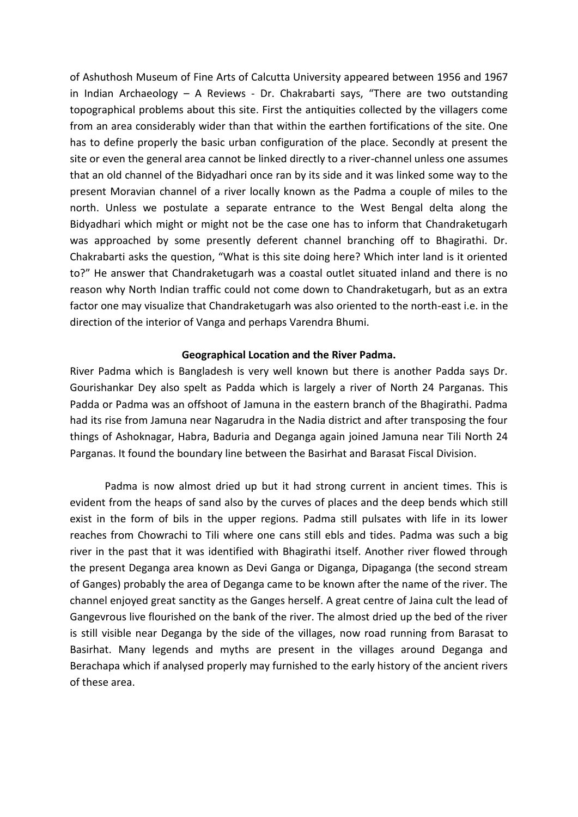of Ashuthosh Museum of Fine Arts of Calcutta University appeared between 1956 and 1967 in Indian Archaeology – A Reviews - Dr. Chakrabarti says, "There are two outstanding topographical problems about this site. First the antiquities collected by the villagers come from an area considerably wider than that within the earthen fortifications of the site. One has to define properly the basic urban configuration of the place. Secondly at present the site or even the general area cannot be linked directly to a river-channel unless one assumes that an old channel of the Bidyadhari once ran by its side and it was linked some way to the present Moravian channel of a river locally known as the Padma a couple of miles to the north. Unless we postulate a separate entrance to the West Bengal delta along the Bidyadhari which might or might not be the case one has to inform that Chandraketugarh was approached by some presently deferent channel branching off to Bhagirathi. Dr. Chakrabarti asks the question, "What is this site doing here? Which inter land is it oriented to?" He answer that Chandraketugarh was a coastal outlet situated inland and there is no reason why North Indian traffic could not come down to Chandraketugarh, but as an extra factor one may visualize that Chandraketugarh was also oriented to the north-east i.e. in the direction of the interior of Vanga and perhaps Varendra Bhumi.

#### **Geographical Location and the River Padma.**

River Padma which is Bangladesh is very well known but there is another Padda says Dr. Gourishankar Dey also spelt as Padda which is largely a river of North 24 Parganas. This Padda or Padma was an offshoot of Jamuna in the eastern branch of the Bhagirathi. Padma had its rise from Jamuna near Nagarudra in the Nadia district and after transposing the four things of Ashoknagar, Habra, Baduria and Deganga again joined Jamuna near Tili North 24 Parganas. It found the boundary line between the Basirhat and Barasat Fiscal Division.

Padma is now almost dried up but it had strong current in ancient times. This is evident from the heaps of sand also by the curves of places and the deep bends which still exist in the form of bils in the upper regions. Padma still pulsates with life in its lower reaches from Chowrachi to Tili where one cans still ebls and tides. Padma was such a big river in the past that it was identified with Bhagirathi itself. Another river flowed through the present Deganga area known as Devi Ganga or Diganga, Dipaganga (the second stream of Ganges) probably the area of Deganga came to be known after the name of the river. The channel enjoyed great sanctity as the Ganges herself. A great centre of Jaina cult the lead of Gangevrous live flourished on the bank of the river. The almost dried up the bed of the river is still visible near Deganga by the side of the villages, now road running from Barasat to Basirhat. Many legends and myths are present in the villages around Deganga and Berachapa which if analysed properly may furnished to the early history of the ancient rivers of these area.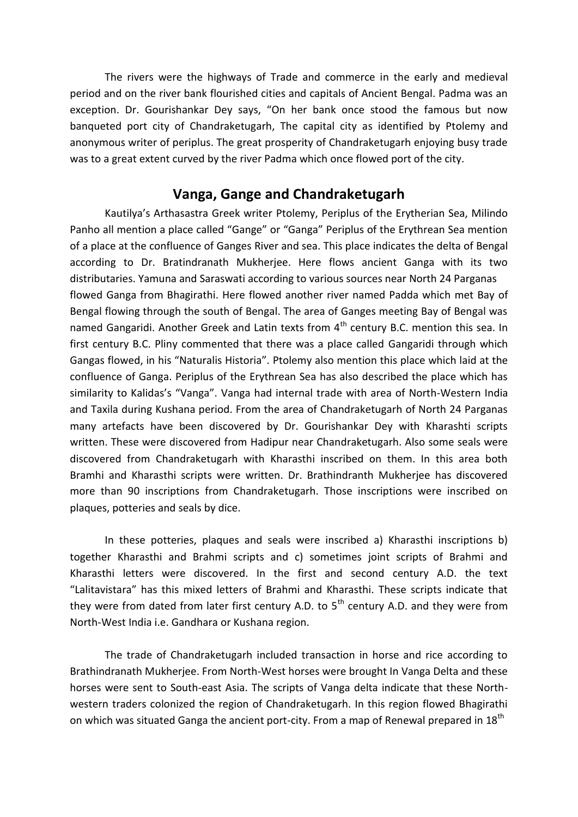The rivers were the highways of Trade and commerce in the early and medieval period and on the river bank flourished cities and capitals of Ancient Bengal. Padma was an exception. Dr. Gourishankar Dey says, "On her bank once stood the famous but now banqueted port city of Chandraketugarh, The capital city as identified by Ptolemy and anonymous writer of periplus. The great prosperity of Chandraketugarh enjoying busy trade was to a great extent curved by the river Padma which once flowed port of the city.

# **Vanga, Gange and Chandraketugarh**

Kautilya's Arthasastra Greek writer Ptolemy, Periplus of the Erytherian Sea, Milindo Panho all mention a place called "Gange" or "Ganga" Periplus of the Erythrean Sea mention of a place at the confluence of Ganges River and sea. This place indicates the delta of Bengal according to Dr. Bratindranath Mukherjee. Here flows ancient Ganga with its two distributaries. Yamuna and Saraswati according to various sources near North 24 Parganas flowed Ganga from Bhagirathi. Here flowed another river named Padda which met Bay of Bengal flowing through the south of Bengal. The area of Ganges meeting Bay of Bengal was named Gangaridi. Another Greek and Latin texts from 4<sup>th</sup> century B.C. mention this sea. In first century B.C. Pliny commented that there was a place called Gangaridi through which Gangas flowed, in his "Naturalis Historia". Ptolemy also mention this place which laid at the confluence of Ganga. Periplus of the Erythrean Sea has also described the place which has similarity to Kalidas's "Vanga". Vanga had internal trade with area of North-Western India and Taxila during Kushana period. From the area of Chandraketugarh of North 24 Parganas many artefacts have been discovered by Dr. Gourishankar Dey with Kharashti scripts written. These were discovered from Hadipur near Chandraketugarh. Also some seals were discovered from Chandraketugarh with Kharasthi inscribed on them. In this area both Bramhi and Kharasthi scripts were written. Dr. Brathindranth Mukherjee has discovered more than 90 inscriptions from Chandraketugarh. Those inscriptions were inscribed on plaques, potteries and seals by dice.

In these potteries, plaques and seals were inscribed a) Kharasthi inscriptions b) together Kharasthi and Brahmi scripts and c) sometimes joint scripts of Brahmi and Kharasthi letters were discovered. In the first and second century A.D. the text "Lalitavistara" has this mixed letters of Brahmi and Kharasthi. These scripts indicate that they were from dated from later first century A.D. to  $5<sup>th</sup>$  century A.D. and they were from North-West India i.e. Gandhara or Kushana region.

The trade of Chandraketugarh included transaction in horse and rice according to Brathindranath Mukherjee. From North-West horses were brought In Vanga Delta and these horses were sent to South-east Asia. The scripts of Vanga delta indicate that these Northwestern traders colonized the region of Chandraketugarh. In this region flowed Bhagirathi on which was situated Ganga the ancient port-city. From a map of Renewal prepared in 18<sup>th</sup>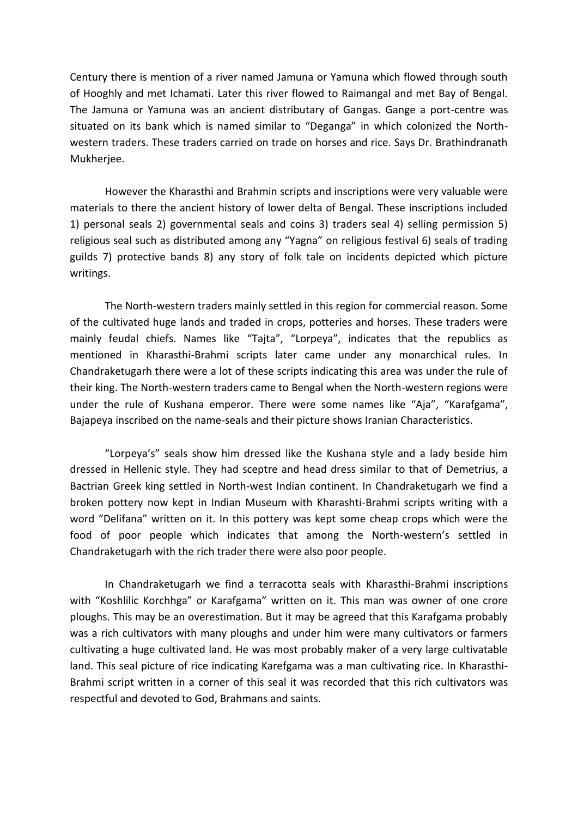Century there is mention of a river named Jamuna or Yamuna which flowed through south of Hooghly and met Ichamati. Later this river flowed to Raimangal and met Bay of Bengal. The Jamuna or Yamuna was an ancient distributary of Gangas. Gange a port-centre was situated on its bank which is named similar to "Deganga" in which colonized the Northwestern traders. These traders carried on trade on horses and rice. Says Dr. Brathindranath Mukherjee.

However the Kharasthi and Brahmin scripts and inscriptions were very valuable were materials to there the ancient history of lower delta of Bengal. These inscriptions included 1) personal seals 2) governmental seals and coins 3) traders seal 4) selling permission 5) religious seal such as distributed among any "Yagna" on religious festival 6) seals of trading guilds 7) protective bands 8) any story of folk tale on incidents depicted which picture writings.

The North-western traders mainly settled in this region for commercial reason. Some of the cultivated huge lands and traded in crops, potteries and horses. These traders were mainly feudal chiefs. Names like "Tajta", "Lorpeya", indicates that the republics as mentioned in Kharasthi-Brahmi scripts later came under any monarchical rules. In Chandraketugarh there were a lot of these scripts indicating this area was under the rule of their king. The North-western traders came to Bengal when the North-western regions were under the rule of Kushana emperor. There were some names like "Aja", "Karafgama", Bajapeya inscribed on the name-seals and their picture shows Iranian Characteristics.

"Lorpeya's" seals show him dressed like the Kushana style and a lady beside him dressed in Hellenic style. They had sceptre and head dress similar to that of Demetrius, a Bactrian Greek king settled in North-west Indian continent. In Chandraketugarh we find a broken pottery now kept in Indian Museum with Kharashti-Brahmi scripts writing with a word "Delifana" written on it. In this pottery was kept some cheap crops which were the food of poor people which indicates that among the North-western's settled in Chandraketugarh with the rich trader there were also poor people.

In Chandraketugarh we find a terracotta seals with Kharasthi-Brahmi inscriptions with "Koshlilic Korchhga" or Karafgama" written on it. This man was owner of one crore ploughs. This may be an overestimation. But it may be agreed that this Karafgama probably was a rich cultivators with many ploughs and under him were many cultivators or farmers cultivating a huge cultivated land. He was most probably maker of a very large cultivatable land. This seal picture of rice indicating Karefgama was a man cultivating rice. In Kharasthi-Brahmi script written in a corner of this seal it was recorded that this rich cultivators was respectful and devoted to God, Brahmans and saints.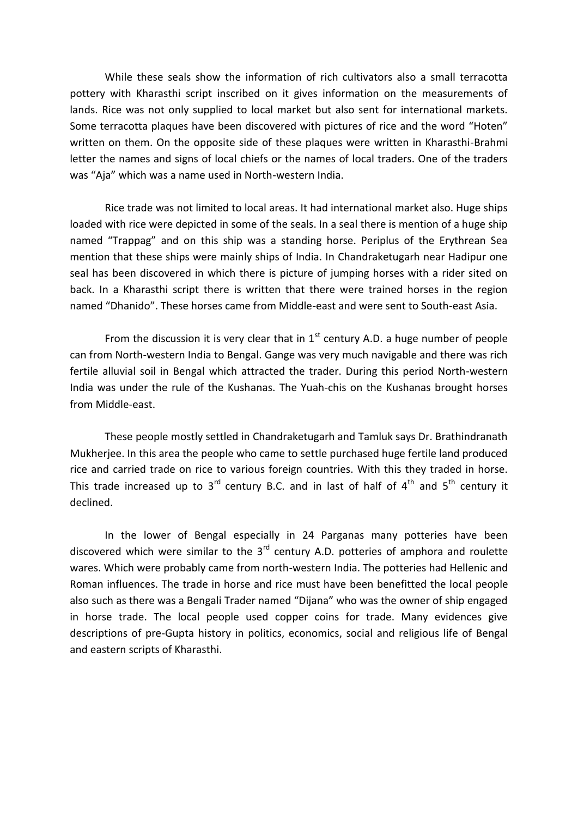While these seals show the information of rich cultivators also a small terracotta pottery with Kharasthi script inscribed on it gives information on the measurements of lands. Rice was not only supplied to local market but also sent for international markets. Some terracotta plaques have been discovered with pictures of rice and the word "Hoten" written on them. On the opposite side of these plaques were written in Kharasthi-Brahmi letter the names and signs of local chiefs or the names of local traders. One of the traders was "Aja" which was a name used in North-western India.

Rice trade was not limited to local areas. It had international market also. Huge ships loaded with rice were depicted in some of the seals. In a seal there is mention of a huge ship named "Trappag" and on this ship was a standing horse. Periplus of the Erythrean Sea mention that these ships were mainly ships of India. In Chandraketugarh near Hadipur one seal has been discovered in which there is picture of jumping horses with a rider sited on back. In a Kharasthi script there is written that there were trained horses in the region named "Dhanido". These horses came from Middle-east and were sent to South-east Asia.

From the discussion it is very clear that in  $1<sup>st</sup>$  century A.D. a huge number of people can from North-western India to Bengal. Gange was very much navigable and there was rich fertile alluvial soil in Bengal which attracted the trader. During this period North-western India was under the rule of the Kushanas. The Yuah-chis on the Kushanas brought horses from Middle-east.

These people mostly settled in Chandraketugarh and Tamluk says Dr. Brathindranath Mukherjee. In this area the people who came to settle purchased huge fertile land produced rice and carried trade on rice to various foreign countries. With this they traded in horse. This trade increased up to  $3^{rd}$  century B.C. and in last of half of  $4^{th}$  and  $5^{th}$  century it declined.

In the lower of Bengal especially in 24 Parganas many potteries have been discovered which were similar to the  $3<sup>rd</sup>$  century A.D. potteries of amphora and roulette wares. Which were probably came from north-western India. The potteries had Hellenic and Roman influences. The trade in horse and rice must have been benefitted the local people also such as there was a Bengali Trader named "Dijana" who was the owner of ship engaged in horse trade. The local people used copper coins for trade. Many evidences give descriptions of pre-Gupta history in politics, economics, social and religious life of Bengal and eastern scripts of Kharasthi.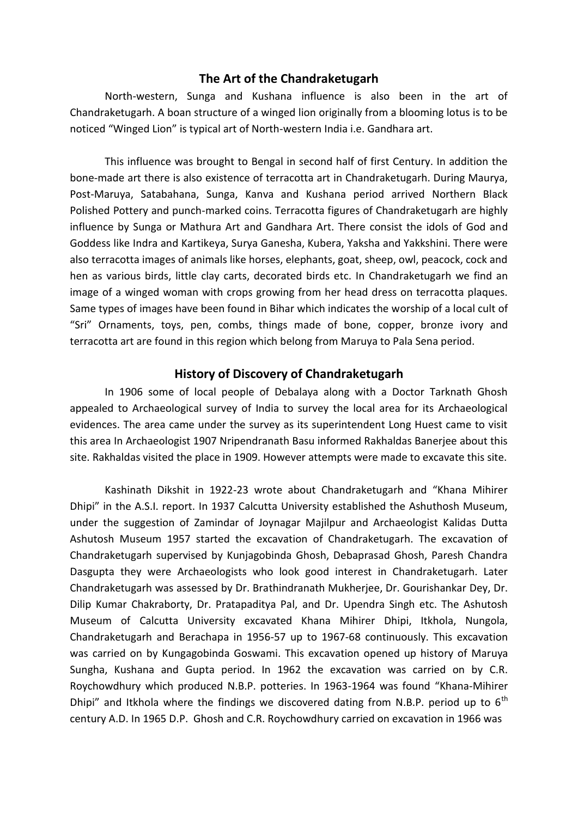## **The Art of the Chandraketugarh**

North-western, Sunga and Kushana influence is also been in the art of Chandraketugarh. A boan structure of a winged lion originally from a blooming lotus is to be noticed "Winged Lion" is typical art of North-western India i.e. Gandhara art.

This influence was brought to Bengal in second half of first Century. In addition the bone-made art there is also existence of terracotta art in Chandraketugarh. During Maurya, Post-Maruya, Satabahana, Sunga, Kanva and Kushana period arrived Northern Black Polished Pottery and punch-marked coins. Terracotta figures of Chandraketugarh are highly influence by Sunga or Mathura Art and Gandhara Art. There consist the idols of God and Goddess like Indra and Kartikeya, Surya Ganesha, Kubera, Yaksha and Yakkshini. There were also terracotta images of animals like horses, elephants, goat, sheep, owl, peacock, cock and hen as various birds, little clay carts, decorated birds etc. In Chandraketugarh we find an image of a winged woman with crops growing from her head dress on terracotta plaques. Same types of images have been found in Bihar which indicates the worship of a local cult of "Sri" Ornaments, toys, pen, combs, things made of bone, copper, bronze ivory and terracotta art are found in this region which belong from Maruya to Pala Sena period.

### **History of Discovery of Chandraketugarh**

In 1906 some of local people of Debalaya along with a Doctor Tarknath Ghosh appealed to Archaeological survey of India to survey the local area for its Archaeological evidences. The area came under the survey as its superintendent Long Huest came to visit this area In Archaeologist 1907 Nripendranath Basu informed Rakhaldas Banerjee about this site. Rakhaldas visited the place in 1909. However attempts were made to excavate this site.

Kashinath Dikshit in 1922-23 wrote about Chandraketugarh and "Khana Mihirer Dhipi" in the A.S.I. report. In 1937 Calcutta University established the Ashuthosh Museum, under the suggestion of Zamindar of Joynagar Majilpur and Archaeologist Kalidas Dutta Ashutosh Museum 1957 started the excavation of Chandraketugarh. The excavation of Chandraketugarh supervised by Kunjagobinda Ghosh, Debaprasad Ghosh, Paresh Chandra Dasgupta they were Archaeologists who look good interest in Chandraketugarh. Later Chandraketugarh was assessed by Dr. Brathindranath Mukherjee, Dr. Gourishankar Dey, Dr. Dilip Kumar Chakraborty, Dr. Pratapaditya Pal, and Dr. Upendra Singh etc. The Ashutosh Museum of Calcutta University excavated Khana Mihirer Dhipi, Itkhola, Nungola, Chandraketugarh and Berachapa in 1956-57 up to 1967-68 continuously. This excavation was carried on by Kungagobinda Goswami. This excavation opened up history of Maruya Sungha, Kushana and Gupta period. In 1962 the excavation was carried on by C.R. Roychowdhury which produced N.B.P. potteries. In 1963-1964 was found "Khana-Mihirer Dhipi" and Itkhola where the findings we discovered dating from N.B.P. period up to  $6<sup>th</sup>$ century A.D. In 1965 D.P. Ghosh and C.R. Roychowdhury carried on excavation in 1966 was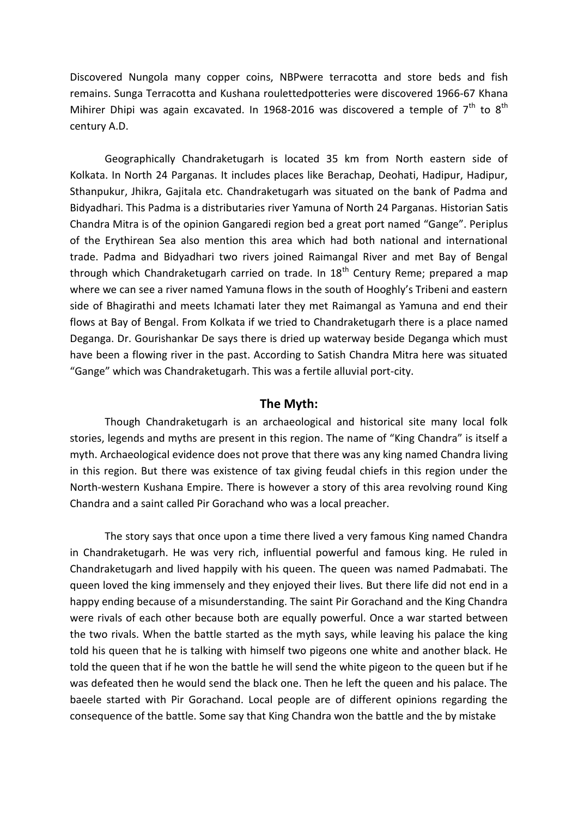Discovered Nungola many copper coins, NBPwere terracotta and store beds and fish remains. Sunga Terracotta and Kushana roulettedpotteries were discovered 1966-67 Khana Mihirer Dhipi was again excavated. In 1968-2016 was discovered a temple of  $7<sup>th</sup>$  to  $8<sup>th</sup>$ century A.D.

Geographically Chandraketugarh is located 35 km from North eastern side of Kolkata. In North 24 Parganas. It includes places like Berachap, Deohati, Hadipur, Hadipur, Sthanpukur, Jhikra, Gajitala etc. Chandraketugarh was situated on the bank of Padma and Bidyadhari. This Padma is a distributaries river Yamuna of North 24 Parganas. Historian Satis Chandra Mitra is of the opinion Gangaredi region bed a great port named "Gange". Periplus of the Erythirean Sea also mention this area which had both national and international trade. Padma and Bidyadhari two rivers joined Raimangal River and met Bay of Bengal through which Chandraketugarh carried on trade. In  $18<sup>th</sup>$  Century Reme; prepared a map where we can see a river named Yamuna flows in the south of Hooghly's Tribeni and eastern side of Bhagirathi and meets Ichamati later they met Raimangal as Yamuna and end their flows at Bay of Bengal. From Kolkata if we tried to Chandraketugarh there is a place named Deganga. Dr. Gourishankar De says there is dried up waterway beside Deganga which must have been a flowing river in the past. According to Satish Chandra Mitra here was situated "Gange" which was Chandraketugarh. This was a fertile alluvial port-city.

## **The Myth:**

Though Chandraketugarh is an archaeological and historical site many local folk stories, legends and myths are present in this region. The name of "King Chandra" is itself a myth. Archaeological evidence does not prove that there was any king named Chandra living in this region. But there was existence of tax giving feudal chiefs in this region under the North-western Kushana Empire. There is however a story of this area revolving round King Chandra and a saint called Pir Gorachand who was a local preacher.

The story says that once upon a time there lived a very famous King named Chandra in Chandraketugarh. He was very rich, influential powerful and famous king. He ruled in Chandraketugarh and lived happily with his queen. The queen was named Padmabati. The queen loved the king immensely and they enjoyed their lives. But there life did not end in a happy ending because of a misunderstanding. The saint Pir Gorachand and the King Chandra were rivals of each other because both are equally powerful. Once a war started between the two rivals. When the battle started as the myth says, while leaving his palace the king told his queen that he is talking with himself two pigeons one white and another black. He told the queen that if he won the battle he will send the white pigeon to the queen but if he was defeated then he would send the black one. Then he left the queen and his palace. The baeele started with Pir Gorachand. Local people are of different opinions regarding the consequence of the battle. Some say that King Chandra won the battle and the by mistake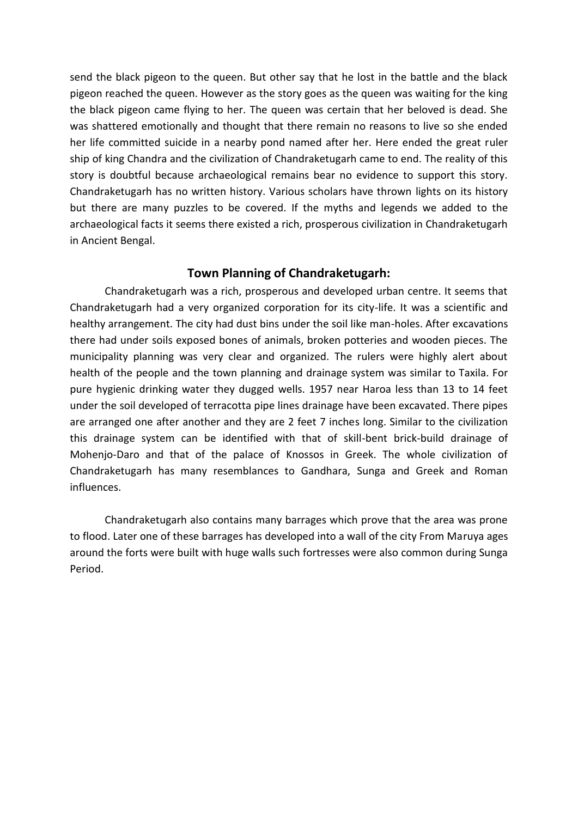send the black pigeon to the queen. But other say that he lost in the battle and the black pigeon reached the queen. However as the story goes as the queen was waiting for the king the black pigeon came flying to her. The queen was certain that her beloved is dead. She was shattered emotionally and thought that there remain no reasons to live so she ended her life committed suicide in a nearby pond named after her. Here ended the great ruler ship of king Chandra and the civilization of Chandraketugarh came to end. The reality of this story is doubtful because archaeological remains bear no evidence to support this story. Chandraketugarh has no written history. Various scholars have thrown lights on its history but there are many puzzles to be covered. If the myths and legends we added to the archaeological facts it seems there existed a rich, prosperous civilization in Chandraketugarh in Ancient Bengal.

# **Town Planning of Chandraketugarh:**

Chandraketugarh was a rich, prosperous and developed urban centre. It seems that Chandraketugarh had a very organized corporation for its city-life. It was a scientific and healthy arrangement. The city had dust bins under the soil like man-holes. After excavations there had under soils exposed bones of animals, broken potteries and wooden pieces. The municipality planning was very clear and organized. The rulers were highly alert about health of the people and the town planning and drainage system was similar to Taxila. For pure hygienic drinking water they dugged wells. 1957 near Haroa less than 13 to 14 feet under the soil developed of terracotta pipe lines drainage have been excavated. There pipes are arranged one after another and they are 2 feet 7 inches long. Similar to the civilization this drainage system can be identified with that of skill-bent brick-build drainage of Mohenjo-Daro and that of the palace of Knossos in Greek. The whole civilization of Chandraketugarh has many resemblances to Gandhara, Sunga and Greek and Roman influences.

Chandraketugarh also contains many barrages which prove that the area was prone to flood. Later one of these barrages has developed into a wall of the city From Maruya ages around the forts were built with huge walls such fortresses were also common during Sunga Period.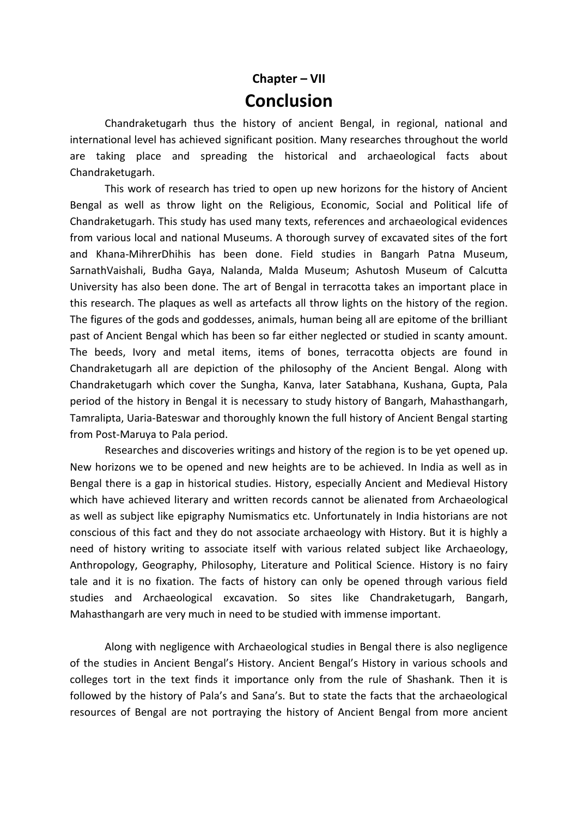# **Chapter – VII Conclusion**

Chandraketugarh thus the history of ancient Bengal, in regional, national and international level has achieved significant position. Many researches throughout the world are taking place and spreading the historical and archaeological facts about Chandraketugarh.

This work of research has tried to open up new horizons for the history of Ancient Bengal as well as throw light on the Religious, Economic, Social and Political life of Chandraketugarh. This study has used many texts, references and archaeological evidences from various local and national Museums. A thorough survey of excavated sites of the fort and Khana-MihrerDhihis has been done. Field studies in Bangarh Patna Museum, SarnathVaishali, Budha Gaya, Nalanda, Malda Museum; Ashutosh Museum of Calcutta University has also been done. The art of Bengal in terracotta takes an important place in this research. The plaques as well as artefacts all throw lights on the history of the region. The figures of the gods and goddesses, animals, human being all are epitome of the brilliant past of Ancient Bengal which has been so far either neglected or studied in scanty amount. The beeds, Ivory and metal items, items of bones, terracotta objects are found in Chandraketugarh all are depiction of the philosophy of the Ancient Bengal. Along with Chandraketugarh which cover the Sungha, Kanva, later Satabhana, Kushana, Gupta, Pala period of the history in Bengal it is necessary to study history of Bangarh, Mahasthangarh, Tamralipta, Uaria-Bateswar and thoroughly known the full history of Ancient Bengal starting from Post-Maruya to Pala period.

Researches and discoveries writings and history of the region is to be yet opened up. New horizons we to be opened and new heights are to be achieved. In India as well as in Bengal there is a gap in historical studies. History, especially Ancient and Medieval History which have achieved literary and written records cannot be alienated from Archaeological as well as subject like epigraphy Numismatics etc. Unfortunately in India historians are not conscious of this fact and they do not associate archaeology with History. But it is highly a need of history writing to associate itself with various related subject like Archaeology, Anthropology, Geography, Philosophy, Literature and Political Science. History is no fairy tale and it is no fixation. The facts of history can only be opened through various field studies and Archaeological excavation. So sites like Chandraketugarh, Bangarh, Mahasthangarh are very much in need to be studied with immense important.

Along with negligence with Archaeological studies in Bengal there is also negligence of the studies in Ancient Bengal's History. Ancient Bengal's History in various schools and colleges tort in the text finds it importance only from the rule of Shashank. Then it is followed by the history of Pala's and Sana's. But to state the facts that the archaeological resources of Bengal are not portraying the history of Ancient Bengal from more ancient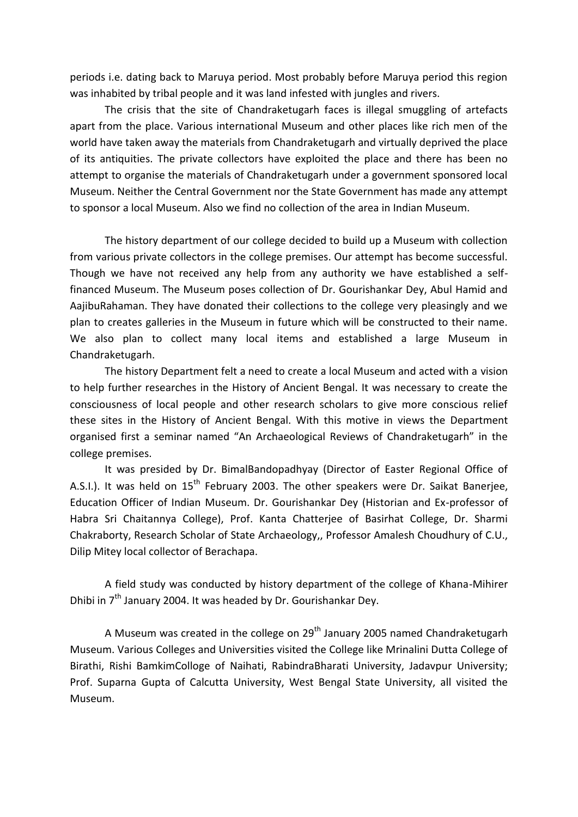periods i.e. dating back to Maruya period. Most probably before Maruya period this region was inhabited by tribal people and it was land infested with jungles and rivers.

The crisis that the site of Chandraketugarh faces is illegal smuggling of artefacts apart from the place. Various international Museum and other places like rich men of the world have taken away the materials from Chandraketugarh and virtually deprived the place of its antiquities. The private collectors have exploited the place and there has been no attempt to organise the materials of Chandraketugarh under a government sponsored local Museum. Neither the Central Government nor the State Government has made any attempt to sponsor a local Museum. Also we find no collection of the area in Indian Museum.

The history department of our college decided to build up a Museum with collection from various private collectors in the college premises. Our attempt has become successful. Though we have not received any help from any authority we have established a selffinanced Museum. The Museum poses collection of Dr. Gourishankar Dey, Abul Hamid and AajibuRahaman. They have donated their collections to the college very pleasingly and we plan to creates galleries in the Museum in future which will be constructed to their name. We also plan to collect many local items and established a large Museum in Chandraketugarh.

The history Department felt a need to create a local Museum and acted with a vision to help further researches in the History of Ancient Bengal. It was necessary to create the consciousness of local people and other research scholars to give more conscious relief these sites in the History of Ancient Bengal. With this motive in views the Department organised first a seminar named "An Archaeological Reviews of Chandraketugarh" in the college premises.

It was presided by Dr. BimalBandopadhyay (Director of Easter Regional Office of A.S.I.). It was held on  $15<sup>th</sup>$  February 2003. The other speakers were Dr. Saikat Banerjee, Education Officer of Indian Museum. Dr. Gourishankar Dey (Historian and Ex-professor of Habra Sri Chaitannya College), Prof. Kanta Chatterjee of Basirhat College, Dr. Sharmi Chakraborty, Research Scholar of State Archaeology,, Professor Amalesh Choudhury of C.U., Dilip Mitey local collector of Berachapa.

A field study was conducted by history department of the college of Khana-Mihirer Dhibi in  $7<sup>th</sup>$  January 2004. It was headed by Dr. Gourishankar Dey.

A Museum was created in the college on  $29<sup>th</sup>$  January 2005 named Chandraketugarh Museum. Various Colleges and Universities visited the College like Mrinalini Dutta College of Birathi, Rishi BamkimColloge of Naihati, RabindraBharati University, Jadavpur University; Prof. Suparna Gupta of Calcutta University, West Bengal State University, all visited the Museum.